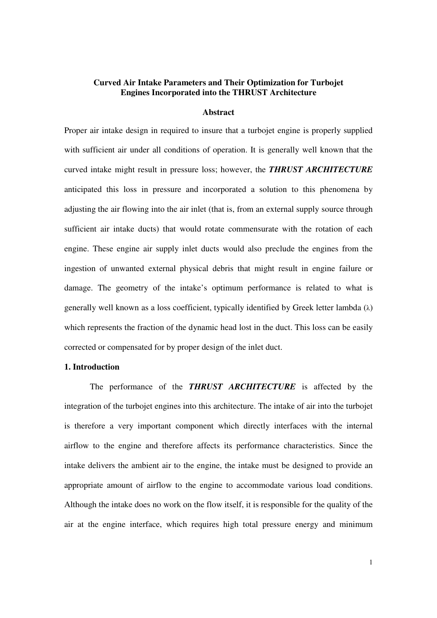## **Curved Air Intake Parameters and Their Optimization for Turbojet Engines Incorporated into the THRUST Architecture**

#### **Abstract**

Proper air intake design in required to insure that a turbojet engine is properly supplied with sufficient air under all conditions of operation. It is generally well known that the curved intake might result in pressure loss; however, the *THRUST ARCHITECTURE* anticipated this loss in pressure and incorporated a solution to this phenomena by adjusting the air flowing into the air inlet (that is, from an external supply source through sufficient air intake ducts) that would rotate commensurate with the rotation of each engine. These engine air supply inlet ducts would also preclude the engines from the ingestion of unwanted external physical debris that might result in engine failure or damage. The geometry of the intake's optimum performance is related to what is generally well known as a loss coefficient, typically identified by Greek letter lambda  $(\lambda)$ which represents the fraction of the dynamic head lost in the duct. This loss can be easily corrected or compensated for by proper design of the inlet duct.

# **1. Introduction**

 The performance of the *THRUST ARCHITECTURE* is affected by the integration of the turbojet engines into this architecture. The intake of air into the turbojet is therefore a very important component which directly interfaces with the internal airflow to the engine and therefore affects its performance characteristics. Since the intake delivers the ambient air to the engine, the intake must be designed to provide an appropriate amount of airflow to the engine to accommodate various load conditions. Although the intake does no work on the flow itself, it is responsible for the quality of the air at the engine interface, which requires high total pressure energy and minimum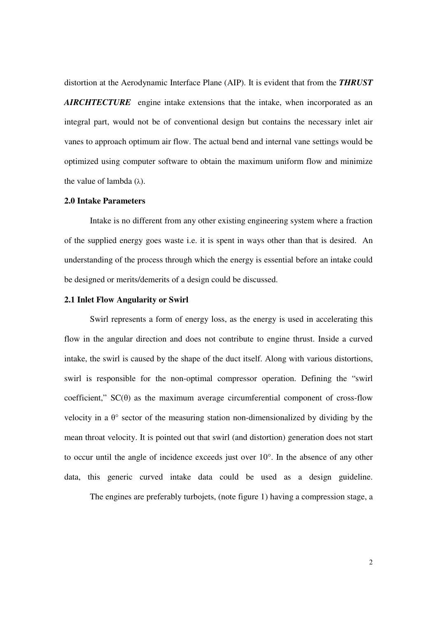distortion at the Aerodynamic Interface Plane (AIP). It is evident that from the *THRUST AIRCHTECTURE* engine intake extensions that the intake, when incorporated as an integral part, would not be of conventional design but contains the necessary inlet air vanes to approach optimum air flow. The actual bend and internal vane settings would be optimized using computer software to obtain the maximum uniform flow and minimize the value of lambda  $(λ)$ .

### **2.0 Intake Parameters**

 Intake is no different from any other existing engineering system where a fraction of the supplied energy goes waste i.e. it is spent in ways other than that is desired. An understanding of the process through which the energy is essential before an intake could be designed or merits/demerits of a design could be discussed.

### **2.1 Inlet Flow Angularity or Swirl**

 Swirl represents a form of energy loss, as the energy is used in accelerating this flow in the angular direction and does not contribute to engine thrust. Inside a curved intake, the swirl is caused by the shape of the duct itself. Along with various distortions, swirl is responsible for the non-optimal compressor operation. Defining the "swirl coefficient,"  $SC(\theta)$  as the maximum average circumferential component of cross-flow velocity in a  $\theta$ ° sector of the measuring station non-dimensionalized by dividing by the mean throat velocity. It is pointed out that swirl (and distortion) generation does not start to occur until the angle of incidence exceeds just over 10°. In the absence of any other data, this generic curved intake data could be used as a design guideline.

The engines are preferably turbojets, (note figure 1) having a compression stage, a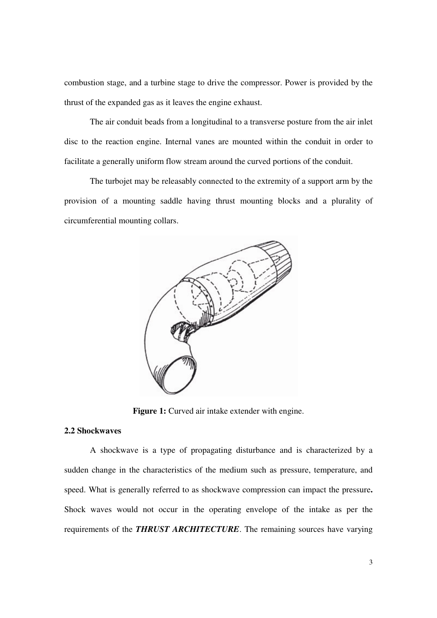combustion stage, and a turbine stage to drive the compressor. Power is provided by the thrust of the expanded gas as it leaves the engine exhaust.

 The air conduit beads from a longitudinal to a transverse posture from the air inlet disc to the reaction engine. Internal vanes are mounted within the conduit in order to facilitate a generally uniform flow stream around the curved portions of the conduit.

 The turbojet may be releasably connected to the extremity of a support arm by the provision of a mounting saddle having thrust mounting blocks and a plurality of circumferential mounting collars.



Figure 1: Curved air intake extender with engine.

# **2.2 Shockwaves**

 A shockwave is a type of propagating disturbance and is characterized by a sudden change in the characteristics of the medium such as pressure, temperature, and speed. What is generally referred to as shockwave compression can impact the pressure**.**  Shock waves would not occur in the operating envelope of the intake as per the requirements of the *THRUST ARCHITECTURE*. The remaining sources have varying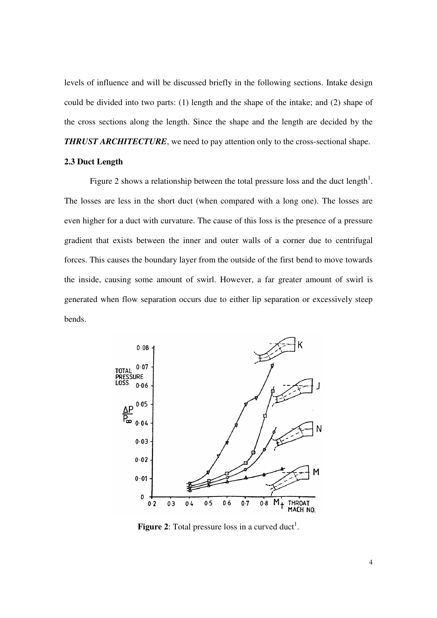levels of influence and will be discussed briefly in the following sections. Intake design could be divided into two parts: (1) length and the shape of the intake; and (2) shape of the cross sections along the length. Since the shape and the length are decided by the *THRUST ARCHITECTURE*, we need to pay attention only to the cross-sectional shape.

### **2.3 Duct Length**

Figure 2 shows a relationship between the total pressure loss and the duct length<sup>1</sup>. The losses are less in the short duct (when compared with a long one). The losses are even higher for a duct with curvature. The cause of this loss is the presence of a pressure gradient that exists between the inner and outer walls of a corner due to centrifugal forces. This causes the boundary layer from the outside of the first bend to move towards the inside, causing some amount of swirl. However, a far greater amount of swirl is generated when flow separation occurs due to either lip separation or excessively steep bends.



**Figure 2:** Total pressure loss in a curved duct<sup>1</sup>.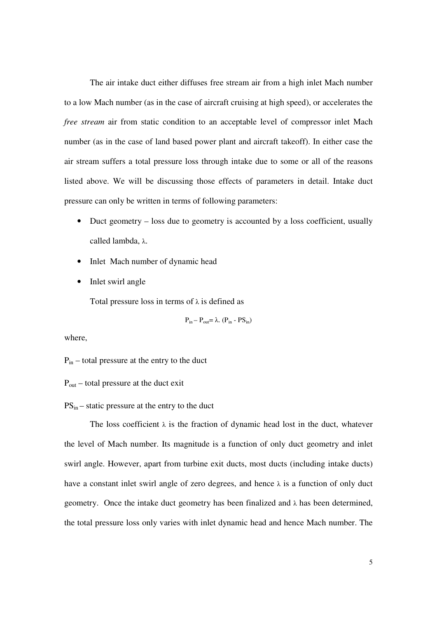The air intake duct either diffuses free stream air from a high inlet Mach number to a low Mach number (as in the case of aircraft cruising at high speed), or accelerates the *free stream* air from static condition to an acceptable level of compressor inlet Mach number (as in the case of land based power plant and aircraft takeoff). In either case the air stream suffers a total pressure loss through intake due to some or all of the reasons listed above. We will be discussing those effects of parameters in detail. Intake duct pressure can only be written in terms of following parameters:

- Duct geometry loss due to geometry is accounted by a loss coefficient, usually called lambda, λ.
- Inlet Mach number of dynamic head
- Inlet swirl angle

Total pressure loss in terms of  $\lambda$  is defined as

 $P_{in} - P_{out} = \lambda$ . ( $P_{in} - PS_{in}$ )

where,

Pin – total pressure at the entry to the duct

 $P_{\text{out}}$  – total pressure at the duct exit

 $PS_{in}$  – static pressure at the entry to the duct

The loss coefficient  $\lambda$  is the fraction of dynamic head lost in the duct, whatever the level of Mach number. Its magnitude is a function of only duct geometry and inlet swirl angle. However, apart from turbine exit ducts, most ducts (including intake ducts) have a constant inlet swirl angle of zero degrees, and hence  $\lambda$  is a function of only duct geometry. Once the intake duct geometry has been finalized and  $\lambda$  has been determined, the total pressure loss only varies with inlet dynamic head and hence Mach number. The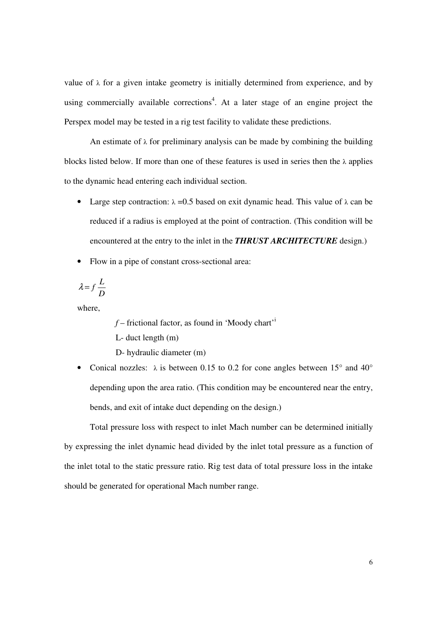value of  $\lambda$  for a given intake geometry is initially determined from experience, and by using commercially available corrections<sup>4</sup>. At a later stage of an engine project the Perspex model may be tested in a rig test facility to validate these predictions.

An estimate of  $\lambda$  for preliminary analysis can be made by combining the building blocks listed below. If more than one of these features is used in series then the  $\lambda$  applies to the dynamic head entering each individual section.

- Large step contraction:  $\lambda = 0.5$  based on exit dynamic head. This value of  $\lambda$  can be reduced if a radius is employed at the point of contraction. (This condition will be encountered at the entry to the inlet in the *THRUST ARCHITECTURE* design.)
- Flow in a pipe of constant cross-sectional area:

$$
\lambda\!=\!f\frac{L}{D}
$$

where,

 $f$  – frictional factor, as found in 'Moody chart'<sup>i</sup> L- duct length (m)

D- hydraulic diameter (m)

• Conical nozzles:  $\lambda$  is between 0.15 to 0.2 for cone angles between 15° and 40° depending upon the area ratio. (This condition may be encountered near the entry, bends, and exit of intake duct depending on the design.)

 Total pressure loss with respect to inlet Mach number can be determined initially by expressing the inlet dynamic head divided by the inlet total pressure as a function of the inlet total to the static pressure ratio. Rig test data of total pressure loss in the intake should be generated for operational Mach number range.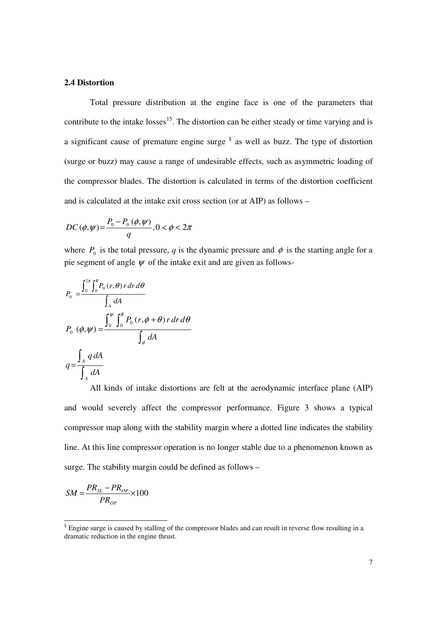### **2.4 Distortion**

 Total pressure distribution at the engine face is one of the parameters that contribute to the intake  $losses<sup>15</sup>$ . The distortion can be either steady or time varying and is a significant cause of premature engine surge  $\frac{8}{3}$  as well as buzz. The type of distortion (surge or buzz) may cause a range of undesirable effects, such as asymmetric loading of the compressor blades. The distortion is calculated in terms of the distortion coefficient and is calculated at the intake exit cross section (or at AIP) as follows –

$$
DC(\phi, \psi) = \frac{P_0 - P_0(\phi, \psi)}{q}, 0 < \phi < 2\pi
$$

where  $P_0$  is the total pressure, *q* is the dynamic pressure and  $\phi$  is the starting angle for a pie segment of angle  $\psi$  of the intake exit and are given as follows-

$$
P_0 = \frac{\int_0^{2\pi} \int_0^R P_0(r,\theta) r dr d\theta}{\int_A dA}
$$
  
\n
$$
P_0 (\phi, \psi) = \frac{\int_0^{\psi} \int_0^R P_0 (r,\phi + \theta) r dr d\theta}{\int_{\phi} dA}
$$
  
\n
$$
q = \frac{\int_A q dA}{\int_A dA}
$$

 All kinds of intake distortions are felt at the aerodynamic interface plane (AIP) and would severely affect the compressor performance. Figure 3 shows a typical compressor map along with the stability margin where a dotted line indicates the stability line. At this line compressor operation is no longer stable due to a phenomenon known as surge. The stability margin could be defined as follows –

$$
SM = \frac{PR_{SL} - PR_{OP}}{PR_{OP}} \times 100
$$

Figure surge is caused by stalling of the compressor blades and can result in reverse flow resulting in a dramatic reduction in the engine thrust.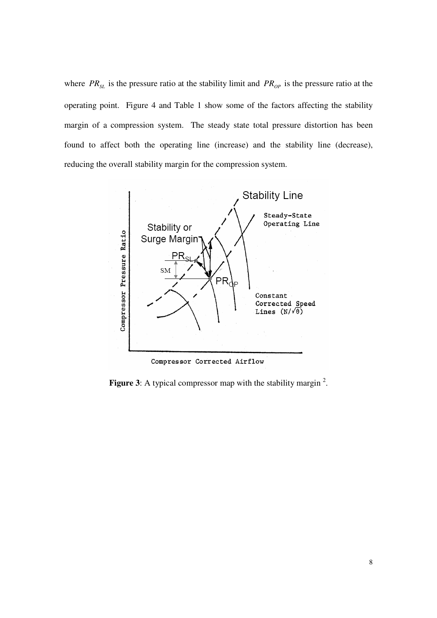where  $PR_{SL}$  is the pressure ratio at the stability limit and  $PR_{OP}$  is the pressure ratio at the operating point. Figure 4 and Table 1 show some of the factors affecting the stability margin of a compression system. The steady state total pressure distortion has been found to affect both the operating line (increase) and the stability line (decrease), reducing the overall stability margin for the compression system.



Figure 3: A typical compressor map with the stability margin<sup>2</sup>.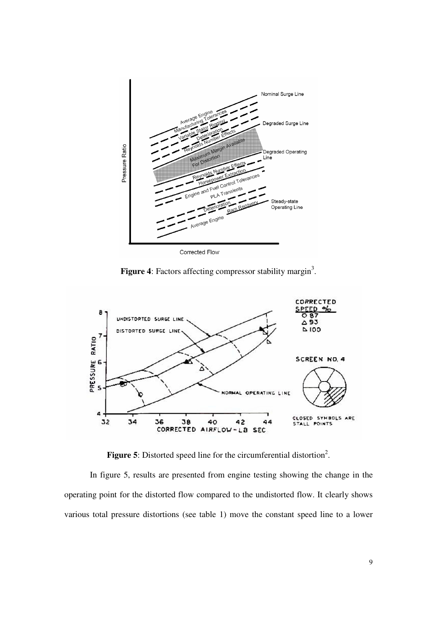

Figure 4: Factors affecting compressor stability margin<sup>3</sup>.



Figure 5: Distorted speed line for the circumferential distortion<sup>2</sup>.

 In figure 5, results are presented from engine testing showing the change in the operating point for the distorted flow compared to the undistorted flow. It clearly shows various total pressure distortions (see table 1) move the constant speed line to a lower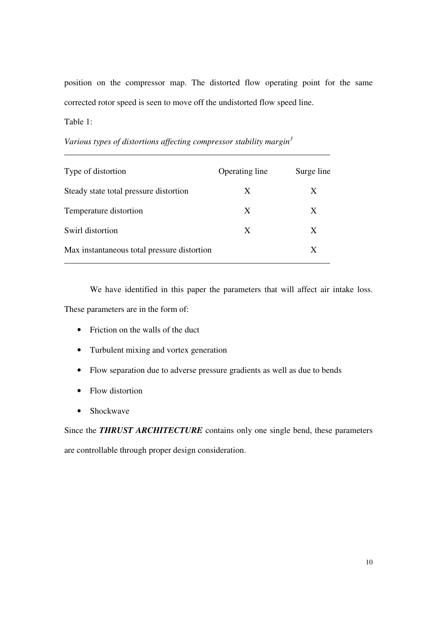position on the compressor map. The distorted flow operating point for the same corrected rotor speed is seen to move off the undistorted flow speed line.

Table 1:

| Type of distortion                          | Operating line | Surge line |
|---------------------------------------------|----------------|------------|
| Steady state total pressure distortion      | X              | X          |
| Temperature distortion                      | X              | X          |
| Swirl distortion                            | X              | X          |
| Max instantaneous total pressure distortion |                | X          |

\_\_\_\_\_\_\_\_\_\_\_\_\_\_\_\_\_\_\_\_\_\_\_\_\_\_\_\_\_\_\_\_\_\_\_\_\_\_\_\_\_\_\_\_\_\_\_\_\_\_\_\_\_\_\_\_\_\_\_\_\_\_

*Various types of distortions affecting compressor stability margin<sup>3</sup>*

 We have identified in this paper the parameters that will affect air intake loss. These parameters are in the form of:

- Friction on the walls of the duct
- Turbulent mixing and vortex generation
- Flow separation due to adverse pressure gradients as well as due to bends
- Flow distortion
- Shockwave

Since the **THRUST ARCHITECTURE** contains only one single bend, these parameters are controllable through proper design consideration.